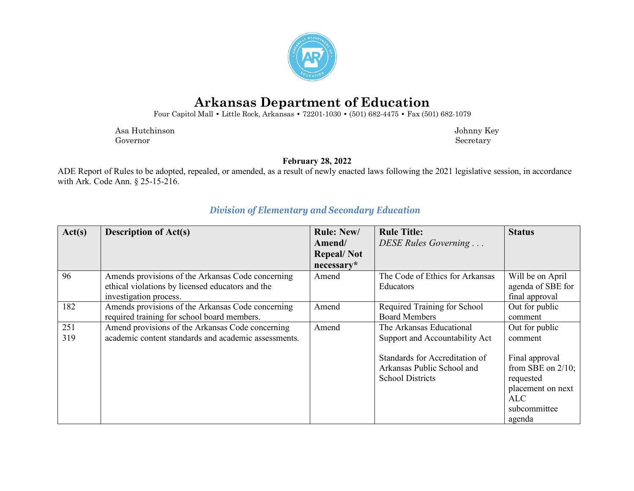

# **Arkansas Department of Education**

Four Capitol Mall **•** Little Rock, Arkansas **•** 72201-1030 **•** (501) 682-4475 **•** Fax (501) 682-1079

 Asa Hutchinson Johnny Key Governor Secretary Secretary Secretary Secretary Secretary Secretary Secretary Secretary Secretary Secretary Secretary Secretary Secretary Secretary Secretary Secretary Secretary Secretary Secretary Secretary Secretary Sec

**February 28, 2022**

ADE Report of Rules to be adopted, repealed, or amended, as a result of newly enacted laws following the 2021 legislative session, in accordance with Ark. Code Ann. § 25-15-216.

| Act(s) | <b>Description of Act(s)</b>                         | <b>Rule: New/</b> | <b>Rule Title:</b>              | <b>Status</b>        |
|--------|------------------------------------------------------|-------------------|---------------------------------|----------------------|
|        |                                                      | Amend/            | DESE Rules Governing            |                      |
|        |                                                      | <b>Repeal/Not</b> |                                 |                      |
|        |                                                      | $necessary*$      |                                 |                      |
| 96     | Amends provisions of the Arkansas Code concerning    | Amend             | The Code of Ethics for Arkansas | Will be on April     |
|        | ethical violations by licensed educators and the     |                   | Educators                       | agenda of SBE for    |
|        | investigation process.                               |                   |                                 | final approval       |
| 182    | Amends provisions of the Arkansas Code concerning    | Amend             | Required Training for School    | Out for public       |
|        | required training for school board members.          |                   | <b>Board Members</b>            | comment              |
| 251    | Amend provisions of the Arkansas Code concerning     | Amend             | The Arkansas Educational        | Out for public       |
| 319    | academic content standards and academic assessments. |                   | Support and Accountability Act  | comment              |
|        |                                                      |                   | Standards for Accreditation of  | Final approval       |
|        |                                                      |                   | Arkansas Public School and      | from SBE on $2/10$ ; |
|        |                                                      |                   | <b>School Districts</b>         | requested            |
|        |                                                      |                   |                                 | placement on next    |
|        |                                                      |                   |                                 | ALC                  |
|        |                                                      |                   |                                 | subcommittee         |
|        |                                                      |                   |                                 | agenda               |

#### *Division of Elementary and Secondary Education*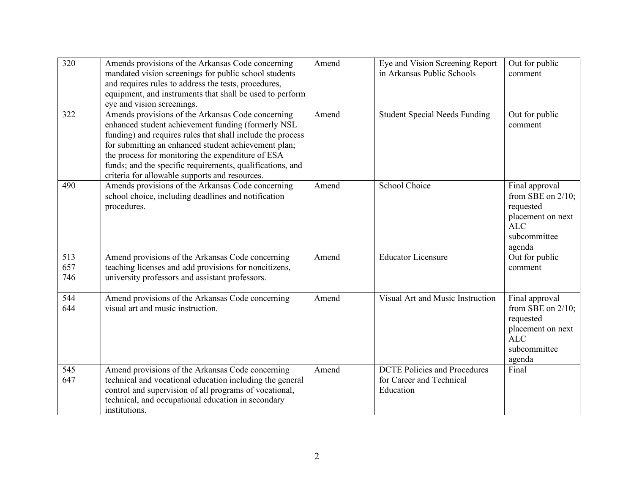| $\overline{320}$  | Amends provisions of the Arkansas Code concerning<br>mandated vision screenings for public school students<br>and requires rules to address the tests, procedures,<br>equipment, and instruments that shall be used to perform<br>eye and vision screenings.                                                                                                                                      | Amend | Eye and Vision Screening Report<br>in Arkansas Public Schools                | Out for public<br>comment                                                                                        |
|-------------------|---------------------------------------------------------------------------------------------------------------------------------------------------------------------------------------------------------------------------------------------------------------------------------------------------------------------------------------------------------------------------------------------------|-------|------------------------------------------------------------------------------|------------------------------------------------------------------------------------------------------------------|
| 322               | Amends provisions of the Arkansas Code concerning<br>enhanced student achievement funding (formerly NSL<br>funding) and requires rules that shall include the process<br>for submitting an enhanced student achievement plan;<br>the process for monitoring the expenditure of ESA<br>funds; and the specific requirements, qualifications, and<br>criteria for allowable supports and resources. | Amend | <b>Student Special Needs Funding</b>                                         | Out for public<br>comment                                                                                        |
| 490               | Amends provisions of the Arkansas Code concerning<br>school choice, including deadlines and notification<br>procedures.                                                                                                                                                                                                                                                                           | Amend | <b>School Choice</b>                                                         | Final approval<br>from SBE on $2/10$ ;<br>requested<br>placement on next<br><b>ALC</b><br>subcommittee<br>agenda |
| 513<br>657<br>746 | Amend provisions of the Arkansas Code concerning<br>teaching licenses and add provisions for noncitizens,<br>university professors and assistant professors.                                                                                                                                                                                                                                      | Amend | <b>Educator Licensure</b>                                                    | Out for public<br>comment                                                                                        |
| 544<br>644        | Amend provisions of the Arkansas Code concerning<br>visual art and music instruction.                                                                                                                                                                                                                                                                                                             | Amend | Visual Art and Music Instruction                                             | Final approval<br>from SBE on $2/10$ ;<br>requested<br>placement on next<br><b>ALC</b><br>subcommittee<br>agenda |
| 545<br>647        | Amend provisions of the Arkansas Code concerning<br>technical and vocational education including the general<br>control and supervision of all programs of vocational,<br>technical, and occupational education in secondary<br>institutions.                                                                                                                                                     | Amend | <b>DCTE Policies and Procedures</b><br>for Career and Technical<br>Education | Final                                                                                                            |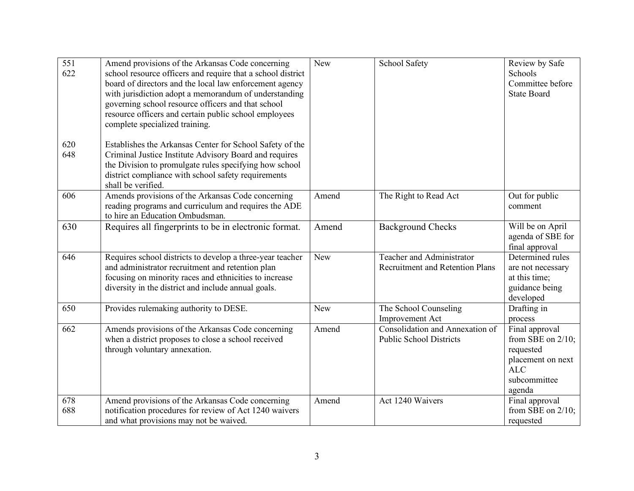| 551<br>622 | Amend provisions of the Arkansas Code concerning<br>school resource officers and require that a school district<br>board of directors and the local law enforcement agency<br>with jurisdiction adopt a memorandum of understanding<br>governing school resource officers and that school<br>resource officers and certain public school employees<br>complete specialized training. | New        | School Safety                                                              | Review by Safe<br>Schools<br>Committee before<br><b>State Board</b>                                              |
|------------|--------------------------------------------------------------------------------------------------------------------------------------------------------------------------------------------------------------------------------------------------------------------------------------------------------------------------------------------------------------------------------------|------------|----------------------------------------------------------------------------|------------------------------------------------------------------------------------------------------------------|
| 620<br>648 | Establishes the Arkansas Center for School Safety of the<br>Criminal Justice Institute Advisory Board and requires<br>the Division to promulgate rules specifying how school<br>district compliance with school safety requirements<br>shall be verified.                                                                                                                            |            |                                                                            |                                                                                                                  |
| 606        | Amends provisions of the Arkansas Code concerning<br>reading programs and curriculum and requires the ADE<br>to hire an Education Ombudsman.                                                                                                                                                                                                                                         | Amend      | The Right to Read Act                                                      | Out for public<br>comment                                                                                        |
| 630        | Requires all fingerprints to be in electronic format.                                                                                                                                                                                                                                                                                                                                | Amend      | <b>Background Checks</b>                                                   | Will be on April<br>agenda of SBE for<br>final approval                                                          |
| 646        | Requires school districts to develop a three-year teacher<br>and administrator recruitment and retention plan<br>focusing on minority races and ethnicities to increase<br>diversity in the district and include annual goals.                                                                                                                                                       | <b>New</b> | <b>Teacher and Administrator</b><br><b>Recruitment and Retention Plans</b> | Determined rules<br>are not necessary<br>at this time;<br>guidance being<br>developed                            |
| 650        | Provides rulemaking authority to DESE.                                                                                                                                                                                                                                                                                                                                               | New        | The School Counseling<br>Improvement Act                                   | Drafting in<br>process                                                                                           |
| 662        | Amends provisions of the Arkansas Code concerning<br>when a district proposes to close a school received<br>through voluntary annexation.                                                                                                                                                                                                                                            | Amend      | Consolidation and Annexation of<br><b>Public School Districts</b>          | Final approval<br>from SBE on $2/10$ ;<br>requested<br>placement on next<br><b>ALC</b><br>subcommittee<br>agenda |
| 678<br>688 | Amend provisions of the Arkansas Code concerning<br>notification procedures for review of Act 1240 waivers<br>and what provisions may not be waived.                                                                                                                                                                                                                                 | Amend      | Act 1240 Waivers                                                           | Final approval<br>from SBE on $2/10$ ;<br>requested                                                              |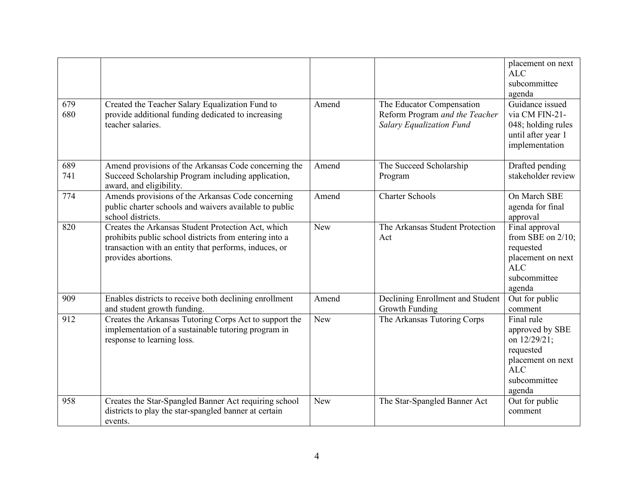| 679<br>680 | Created the Teacher Salary Equalization Fund to<br>provide additional funding dedicated to increasing<br>teacher salaries.                                                                   | Amend      | The Educator Compensation<br>Reform Program and the Teacher<br><b>Salary Equalization Fund</b> | placement on next<br><b>ALC</b><br>subcommittee<br>agenda<br>Guidance issued<br>via CM FIN-21-<br>048; holding rules |
|------------|----------------------------------------------------------------------------------------------------------------------------------------------------------------------------------------------|------------|------------------------------------------------------------------------------------------------|----------------------------------------------------------------------------------------------------------------------|
|            |                                                                                                                                                                                              |            |                                                                                                | until after year 1<br>implementation                                                                                 |
| 689<br>741 | Amend provisions of the Arkansas Code concerning the<br>Succeed Scholarship Program including application,<br>award, and eligibility.                                                        | Amend      | The Succeed Scholarship<br>Program                                                             | Drafted pending<br>stakeholder review                                                                                |
| 774        | Amends provisions of the Arkansas Code concerning<br>public charter schools and waivers available to public<br>school districts.                                                             | Amend      | <b>Charter Schools</b>                                                                         | On March SBE<br>agenda for final<br>approval                                                                         |
| 820        | Creates the Arkansas Student Protection Act, which<br>prohibits public school districts from entering into a<br>transaction with an entity that performs, induces, or<br>provides abortions. | <b>New</b> | The Arkansas Student Protection<br>Act                                                         | Final approval<br>from SBE on $2/10$ ;<br>requested<br>placement on next<br><b>ALC</b><br>subcommittee<br>agenda     |
| 909        | Enables districts to receive both declining enrollment<br>and student growth funding.                                                                                                        | Amend      | Declining Enrollment and Student<br>Growth Funding                                             | Out for public<br>comment                                                                                            |
| 912        | Creates the Arkansas Tutoring Corps Act to support the<br>implementation of a sustainable tutoring program in<br>response to learning loss.                                                  | New        | The Arkansas Tutoring Corps                                                                    | Final rule<br>approved by SBE<br>on 12/29/21;<br>requested<br>placement on next<br>ALC<br>subcommittee<br>agenda     |
| 958        | Creates the Star-Spangled Banner Act requiring school<br>districts to play the star-spangled banner at certain<br>events.                                                                    | <b>New</b> | The Star-Spangled Banner Act                                                                   | Out for public<br>comment                                                                                            |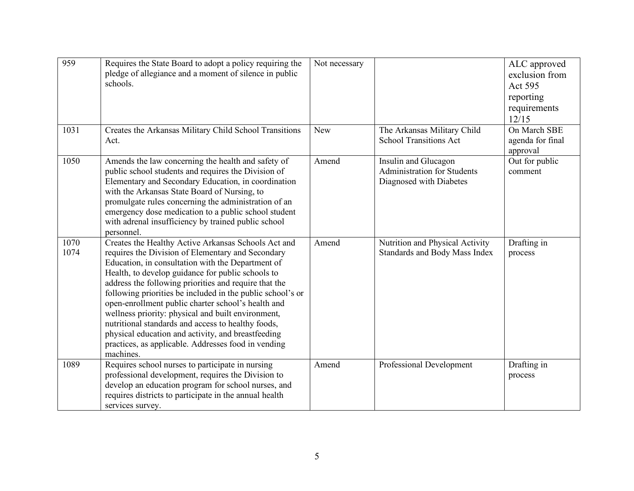| 959          | Requires the State Board to adopt a policy requiring the<br>pledge of allegiance and a moment of silence in public<br>schools.                                                                                                                                                                                                                                                                                                                                                                                                                                                                                                        | Not necessary |                                                                                       | ALC approved<br>exclusion from<br>Act 595<br>reporting<br>requirements<br>12/15 |
|--------------|---------------------------------------------------------------------------------------------------------------------------------------------------------------------------------------------------------------------------------------------------------------------------------------------------------------------------------------------------------------------------------------------------------------------------------------------------------------------------------------------------------------------------------------------------------------------------------------------------------------------------------------|---------------|---------------------------------------------------------------------------------------|---------------------------------------------------------------------------------|
| 1031         | Creates the Arkansas Military Child School Transitions<br>Act.                                                                                                                                                                                                                                                                                                                                                                                                                                                                                                                                                                        | New           | The Arkansas Military Child<br><b>School Transitions Act</b>                          | On March SBE<br>agenda for final<br>approval                                    |
| 1050         | Amends the law concerning the health and safety of<br>public school students and requires the Division of<br>Elementary and Secondary Education, in coordination<br>with the Arkansas State Board of Nursing, to<br>promulgate rules concerning the administration of an<br>emergency dose medication to a public school student<br>with adrenal insufficiency by trained public school<br>personnel.                                                                                                                                                                                                                                 | Amend         | Insulin and Glucagon<br><b>Administration for Students</b><br>Diagnosed with Diabetes | Out for public<br>comment                                                       |
| 1070<br>1074 | Creates the Healthy Active Arkansas Schools Act and<br>requires the Division of Elementary and Secondary<br>Education, in consultation with the Department of<br>Health, to develop guidance for public schools to<br>address the following priorities and require that the<br>following priorities be included in the public school's or<br>open-enrollment public charter school's health and<br>wellness priority: physical and built environment,<br>nutritional standards and access to healthy foods,<br>physical education and activity, and breastfeeding<br>practices, as applicable. Addresses food in vending<br>machines. | Amend         | Nutrition and Physical Activity<br>Standards and Body Mass Index                      | Drafting in<br>process                                                          |
| 1089         | Requires school nurses to participate in nursing<br>professional development, requires the Division to<br>develop an education program for school nurses, and<br>requires districts to participate in the annual health<br>services survey.                                                                                                                                                                                                                                                                                                                                                                                           | Amend         | Professional Development                                                              | Drafting in<br>process                                                          |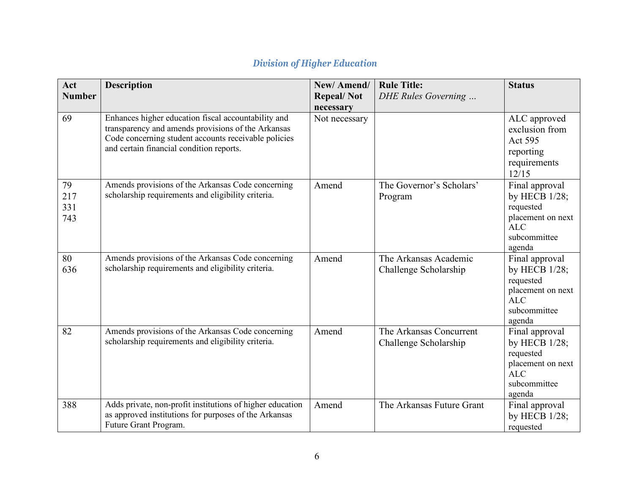| Act           | <b>Description</b>                                        | New/Amend/        | <b>Rule Title:</b>        | <b>Status</b>                      |
|---------------|-----------------------------------------------------------|-------------------|---------------------------|------------------------------------|
| <b>Number</b> |                                                           | <b>Repeal/Not</b> | DHE Rules Governing       |                                    |
|               |                                                           | necessary         |                           |                                    |
| 69            | Enhances higher education fiscal accountability and       | Not necessary     |                           | ALC approved                       |
|               | transparency and amends provisions of the Arkansas        |                   |                           | exclusion from                     |
|               | Code concerning student accounts receivable policies      |                   |                           | <b>Act 595</b>                     |
|               | and certain financial condition reports.                  |                   |                           | reporting                          |
|               |                                                           |                   |                           | requirements                       |
|               |                                                           |                   |                           | 12/15                              |
| 79            | Amends provisions of the Arkansas Code concerning         | Amend             | The Governor's Scholars'  | Final approval                     |
| 217           | scholarship requirements and eligibility criteria.        |                   | Program                   | by HECB 1/28;                      |
| 331           |                                                           |                   |                           | requested                          |
| 743           |                                                           |                   |                           | placement on next<br><b>ALC</b>    |
|               |                                                           |                   |                           | subcommittee                       |
|               |                                                           |                   |                           | agenda                             |
| 80            | Amends provisions of the Arkansas Code concerning         | Amend             | The Arkansas Academic     | Final approval                     |
| 636           | scholarship requirements and eligibility criteria.        |                   | Challenge Scholarship     | by HECB 1/28;                      |
|               |                                                           |                   |                           | requested                          |
|               |                                                           |                   |                           | placement on next                  |
|               |                                                           |                   |                           | <b>ALC</b>                         |
|               |                                                           |                   |                           | subcommittee                       |
| 82            | Amends provisions of the Arkansas Code concerning         | Amend             | The Arkansas Concurrent   | agenda                             |
|               | scholarship requirements and eligibility criteria.        |                   | Challenge Scholarship     | Final approval<br>by HECB $1/28$ ; |
|               |                                                           |                   |                           | requested                          |
|               |                                                           |                   |                           | placement on next                  |
|               |                                                           |                   |                           | ALC                                |
|               |                                                           |                   |                           | subcommittee                       |
|               |                                                           |                   |                           | agenda                             |
| 388           | Adds private, non-profit institutions of higher education | Amend             | The Arkansas Future Grant | Final approval                     |
|               | as approved institutions for purposes of the Arkansas     |                   |                           | by HECB $1/28$ ;                   |
|               | Future Grant Program.                                     |                   |                           | requested                          |

## *Division of Higher Education*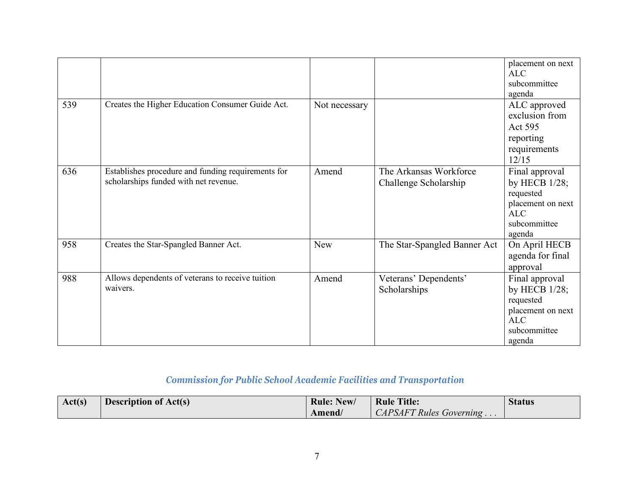|     |                                                    |               |                              | placement on next<br>ALC |
|-----|----------------------------------------------------|---------------|------------------------------|--------------------------|
|     |                                                    |               |                              | subcommittee             |
|     |                                                    |               |                              |                          |
|     |                                                    |               |                              | agenda                   |
| 539 | Creates the Higher Education Consumer Guide Act.   | Not necessary |                              | ALC approved             |
|     |                                                    |               |                              | exclusion from           |
|     |                                                    |               |                              | Act 595                  |
|     |                                                    |               |                              | reporting                |
|     |                                                    |               |                              | requirements             |
|     |                                                    |               |                              | 12/15                    |
| 636 | Establishes procedure and funding requirements for | Amend         | The Arkansas Workforce       | Final approval           |
|     | scholarships funded with net revenue.              |               | Challenge Scholarship        | by HECB 1/28;            |
|     |                                                    |               |                              | requested                |
|     |                                                    |               |                              | placement on next        |
|     |                                                    |               |                              | <b>ALC</b>               |
|     |                                                    |               |                              | subcommittee             |
|     |                                                    |               |                              | agenda                   |
| 958 | Creates the Star-Spangled Banner Act.              | <b>New</b>    | The Star-Spangled Banner Act | On April HECB            |
|     |                                                    |               |                              | agenda for final         |
|     |                                                    |               |                              | approval                 |
| 988 | Allows dependents of veterans to receive tuition   | Amend         | Veterans' Dependents'        | Final approval           |
|     | waivers.                                           |               | Scholarships                 | by HECB 1/28;            |
|     |                                                    |               |                              | requested                |
|     |                                                    |               |                              | placement on next        |
|     |                                                    |               |                              | ALC                      |
|     |                                                    |               |                              | subcommittee             |
|     |                                                    |               |                              | agenda                   |

## *Commission for Public School Academic Facilities and Transportation*

| Act(s) | <b>Description of Act(s)</b> | <b>Rule: New/</b> | <b>Rule Title:</b>         | <b>Status</b> |
|--------|------------------------------|-------------------|----------------------------|---------------|
|        |                              | Amend/            | $CAPSAFT Rules Government$ |               |